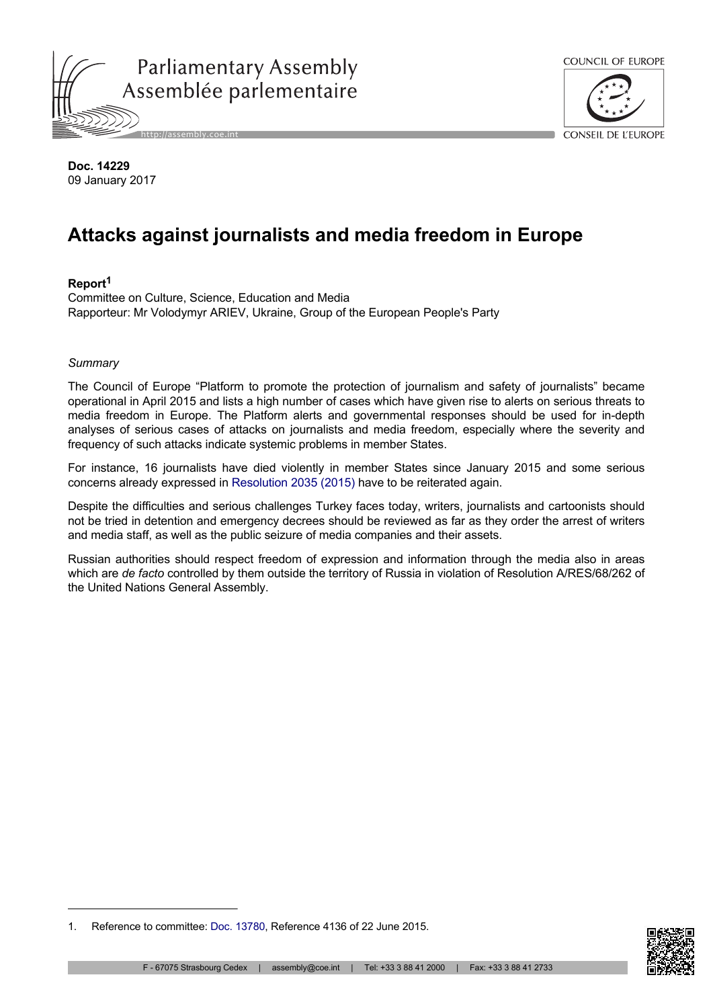



**Doc. 14229** 09 January 2017

# **Attacks against journalists and media freedom in Europe**

# **Report<sup>1</sup>**

Committee on Culture, Science, Education and Media Rapporteur: Mr Volodymyr ARIEV, Ukraine, Group of the European People's Party

## *Summary*

The Council of Europe "Platform to promote the protection of journalism and safety of journalists" became operational in April 2015 and lists a high number of cases which have given rise to alerts on serious threats to media freedom in Europe. The Platform alerts and governmental responses should be used for in-depth analyses of serious cases of attacks on journalists and media freedom, especially where the severity and frequency of such attacks indicate systemic problems in member States.

For instance, 16 journalists have died violently in member States since January 2015 and some serious concerns already expressed in [Resolution 2035 \(2015\)](http://assembly.coe.int/nw/xml/XRef/Xref-DocDetails-en.asp?FileId=21544) have to be reiterated again.

Despite the difficulties and serious challenges Turkey faces today, writers, journalists and cartoonists should not be tried in detention and emergency decrees should be reviewed as far as they order the arrest of writers and media staff, as well as the public seizure of media companies and their assets.

Russian authorities should respect freedom of expression and information through the media also in areas which are *de facto* controlled by them outside the territory of Russia in violation of Resolution A/RES/68/262 of the United Nations General Assembly.



<sup>1.</sup> Reference to committee: [Doc. 13780](http://assembly.coe.int/nw/xml/XRef/Xref-DocDetails-en.asp?FileId=21769), Reference 4136 of 22 June 2015.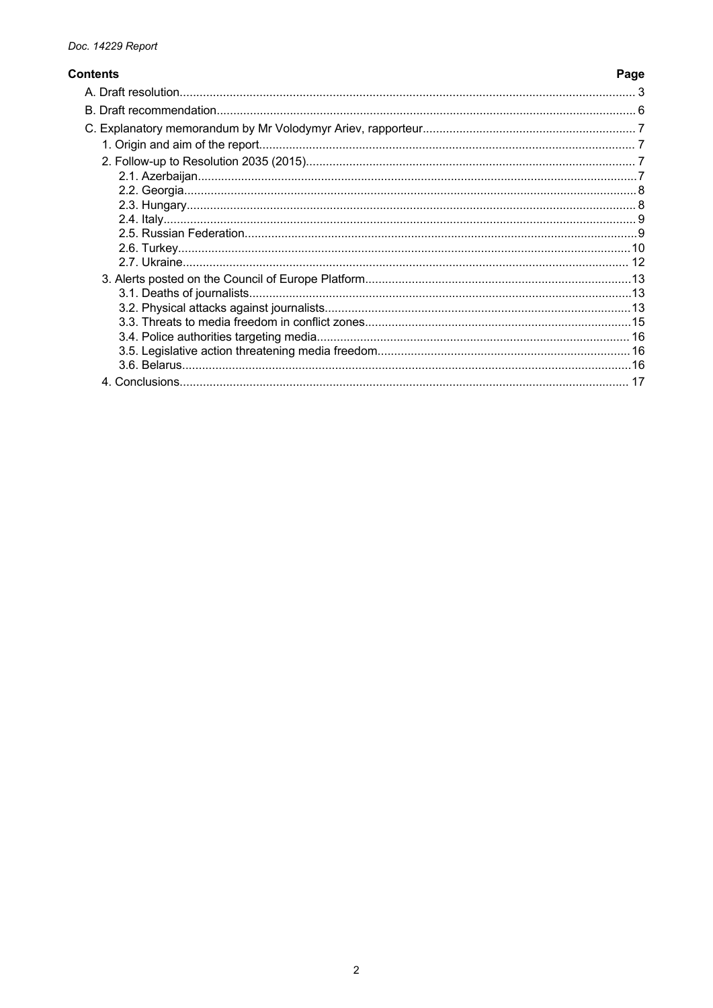# **Contents**

Page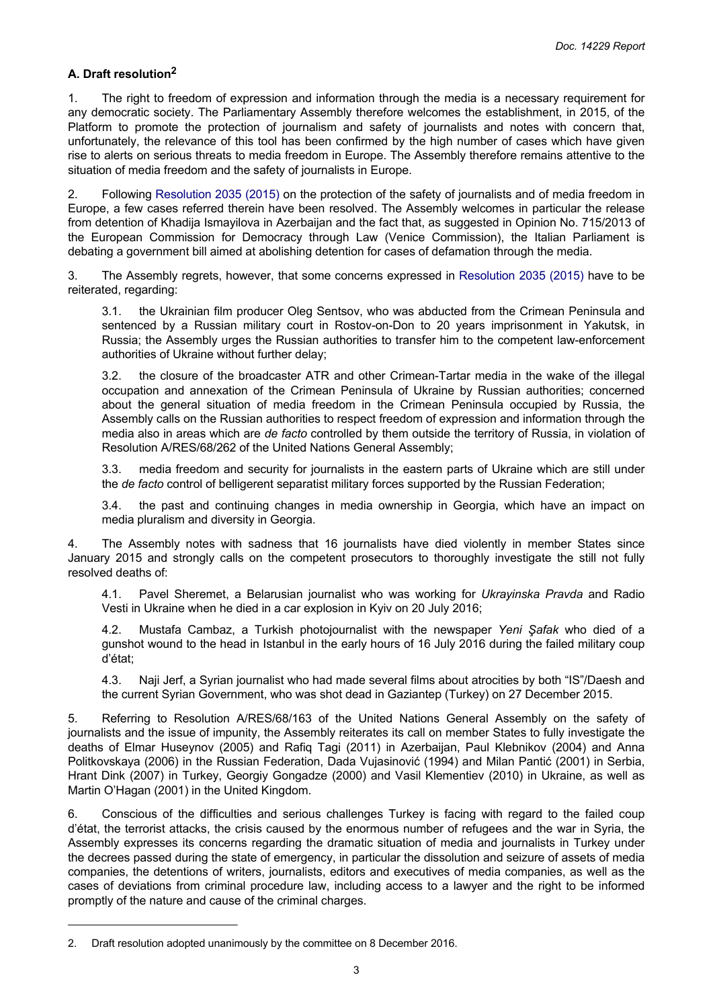#### <span id="page-2-0"></span>**A. Draft resolution<sup>2</sup>**

1. The right to freedom of expression and information through the media is a necessary requirement for any democratic society. The Parliamentary Assembly therefore welcomes the establishment, in 2015, of the Platform to promote the protection of journalism and safety of journalists and notes with concern that, unfortunately, the relevance of this tool has been confirmed by the high number of cases which have given rise to alerts on serious threats to media freedom in Europe. The Assembly therefore remains attentive to the situation of media freedom and the safety of journalists in Europe.

2. Following [Resolution](http://assembly.coe.int/nw/xml/XRef/Xref-DocDetails-en.asp?FileId=21544) 2035 (2015) on the protection of the safety of journalists and of media freedom in Europe, a few cases referred therein have been resolved. The Assembly welcomes in particular the release from detention of Khadija Ismayilova in Azerbaijan and the fact that, as suggested in Opinion No. 715/2013 of the European Commission for Democracy through Law (Venice Commission), the Italian Parliament is debating a government bill aimed at abolishing detention for cases of defamation through the media.

3. The Assembly regrets, however, that some concerns expressed in [Resolution](http://assembly.coe.int/nw/xml/XRef/Xref-DocDetails-en.asp?FileId=21544) 2035 (2015) have to be reiterated, regarding:

3.1. the Ukrainian film producer Oleg Sentsov, who was abducted from the Crimean Peninsula and sentenced by a Russian military court in Rostov-on-Don to 20 years imprisonment in Yakutsk, in Russia; the Assembly urges the Russian authorities to transfer him to the competent law-enforcement authorities of Ukraine without further delay;

3.2. the closure of the broadcaster ATR and other Crimean-Tartar media in the wake of the illegal occupation and annexation of the Crimean Peninsula of Ukraine by Russian authorities; concerned about the general situation of media freedom in the Crimean Peninsula occupied by Russia, the Assembly calls on the Russian authorities to respect freedom of expression and information through the media also in areas which are *de facto* controlled by them outside the territory of Russia, in violation of Resolution A/RES/68/262 of the United Nations General Assembly;

3.3. media freedom and security for journalists in the eastern parts of Ukraine which are still under the *de facto* control of belligerent separatist military forces supported by the Russian Federation;

3.4. the past and continuing changes in media ownership in Georgia, which have an impact on media pluralism and diversity in Georgia.

4. The Assembly notes with sadness that 16 journalists have died violently in member States since January 2015 and strongly calls on the competent prosecutors to thoroughly investigate the still not fully resolved deaths of:

4.1. Pavel Sheremet, a Belarusian journalist who was working for *Ukrayinska Pravda* and Radio Vesti in Ukraine when he died in a car explosion in Kyiv on 20 July 2016;

4.2. Mustafa Cambaz, a Turkish photojournalist with the newspaper *Yeni Şafak* who died of a gunshot wound to the head in Istanbul in the early hours of 16 July 2016 during the failed military coup d'état;

4.3. Naji Jerf, a Syrian journalist who had made several films about atrocities by both "IS"/Daesh and the current Syrian Government, who was shot dead in Gaziantep (Turkey) on 27 December 2015.

5. Referring to Resolution A/RES/68/163 of the United Nations General Assembly on the safety of journalists and the issue of impunity, the Assembly reiterates its call on member States to fully investigate the deaths of Elmar Huseynov (2005) and Rafiq Tagi (2011) in Azerbaijan, Paul Klebnikov (2004) and Anna Politkovskaya (2006) in the Russian Federation, Dada Vujasinović (1994) and Milan Pantić (2001) in Serbia, Hrant Dink (2007) in Turkey, Georgiy Gongadze (2000) and Vasil Klementiev (2010) in Ukraine, as well as Martin O'Hagan (2001) in the United Kingdom.

6. Conscious of the difficulties and serious challenges Turkey is facing with regard to the failed coup d'état, the terrorist attacks, the crisis caused by the enormous number of refugees and the war in Syria, the Assembly expresses its concerns regarding the dramatic situation of media and journalists in Turkey under the decrees passed during the state of emergency, in particular the dissolution and seizure of assets of media companies, the detentions of writers, journalists, editors and executives of media companies, as well as the cases of deviations from criminal procedure law, including access to a lawyer and the right to be informed promptly of the nature and cause of the criminal charges.

<sup>2.</sup> Draft resolution adopted unanimously by the committee on 8 December 2016.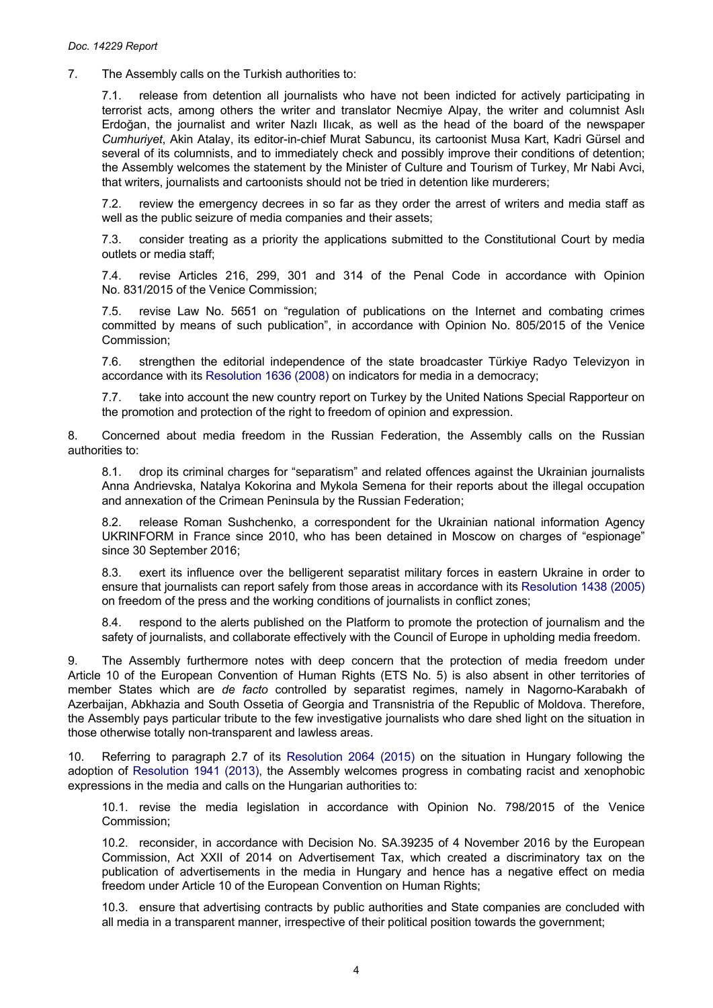7. The Assembly calls on the Turkish authorities to:

7.1. release from detention all journalists who have not been indicted for actively participating in terrorist acts, among others the writer and translator Necmiye Alpay, the writer and columnist Aslı Erdoğan, the journalist and writer Nazlı Ilıcak, as well as the head of the board of the newspaper *Cumhuriyet*, Akin Atalay, its editor-in-chief Murat Sabuncu, its cartoonist Musa Kart, Kadri Gürsel and several of its columnists, and to immediately check and possibly improve their conditions of detention; the Assembly welcomes the statement by the Minister of Culture and Tourism of Turkey, Mr Nabi Avci, that writers, journalists and cartoonists should not be tried in detention like murderers;

7.2. review the emergency decrees in so far as they order the arrest of writers and media staff as well as the public seizure of media companies and their assets;

7.3. consider treating as a priority the applications submitted to the Constitutional Court by media outlets or media staff;

7.4. revise Articles 216, 299, 301 and 314 of the Penal Code in accordance with Opinion No. 831/2015 of the Venice Commission;

7.5. revise Law No. 5651 on "regulation of publications on the Internet and combating crimes committed by means of such publication", in accordance with Opinion No. 805/2015 of the Venice Commission;

7.6. strengthen the editorial independence of the state broadcaster Türkiye Radyo Televizyon in accordance with its [Resolution 1636 \(2008\)](http://assembly.coe.int/nw/xml/XRef/Xref-DocDetails-en.asp?FileId=17684) on indicators for media in a democracy;

7.7. take into account the new country report on Turkey by the United Nations Special Rapporteur on the promotion and protection of the right to freedom of opinion and expression.

8. Concerned about media freedom in the Russian Federation, the Assembly calls on the Russian authorities to:

8.1. drop its criminal charges for "separatism" and related offences against the Ukrainian journalists Anna Andrievska, Natalya Kokorina and Mykola Semena for their reports about the illegal occupation and annexation of the Crimean Peninsula by the Russian Federation;

8.2. release Roman Sushchenko, a correspondent for the Ukrainian national information Agency UKRINFORM in France since 2010, who has been detained in Moscow on charges of "espionage" since 30 September 2016;

8.3. exert its influence over the belligerent separatist military forces in eastern Ukraine in order to ensure that journalists can report safely from those areas in accordance with its [Resolution 1438 \(2005\)](http://assembly.coe.int/nw/xml/XRef/Xref-DocDetails-en.asp?FileId=17326) on freedom of the press and the working conditions of journalists in conflict zones;

8.4. respond to the alerts published on the Platform to promote the protection of journalism and the safety of journalists, and collaborate effectively with the Council of Europe in upholding media freedom.

9. The Assembly furthermore notes with deep concern that the protection of media freedom under Article 10 of the European Convention of Human Rights (ETS No. 5) is also absent in other territories of member States which are *de facto* controlled by separatist regimes, namely in Nagorno-Karabakh of Azerbaijan, Abkhazia and South Ossetia of Georgia and Transnistria of the Republic of Moldova. Therefore, the Assembly pays particular tribute to the few investigative journalists who dare shed light on the situation in those otherwise totally non-transparent and lawless areas.

10. Referring to paragraph 2.7 of its [Resolution](http://assembly.coe.int/nw/xml/XRef/Xref-DocDetails-en.asp?FileId=21957) 2064 (2015) on the situation in Hungary following the adoption of [Resolution](http://assembly.coe.int/nw/xml/XRef/Xref-DocDetails-en.asp?FileId=19933) 1941 (2013), the Assembly welcomes progress in combating racist and xenophobic expressions in the media and calls on the Hungarian authorities to:

10.1. revise the media legislation in accordance with Opinion No. 798/2015 of the Venice Commission;

10.2. reconsider, in accordance with Decision No. SA.39235 of 4 November 2016 by the European Commission, Act XXII of 2014 on Advertisement Tax, which created a discriminatory tax on the publication of advertisements in the media in Hungary and hence has a negative effect on media freedom under Article 10 of the European Convention on Human Rights;

10.3. ensure that advertising contracts by public authorities and State companies are concluded with all media in a transparent manner, irrespective of their political position towards the government;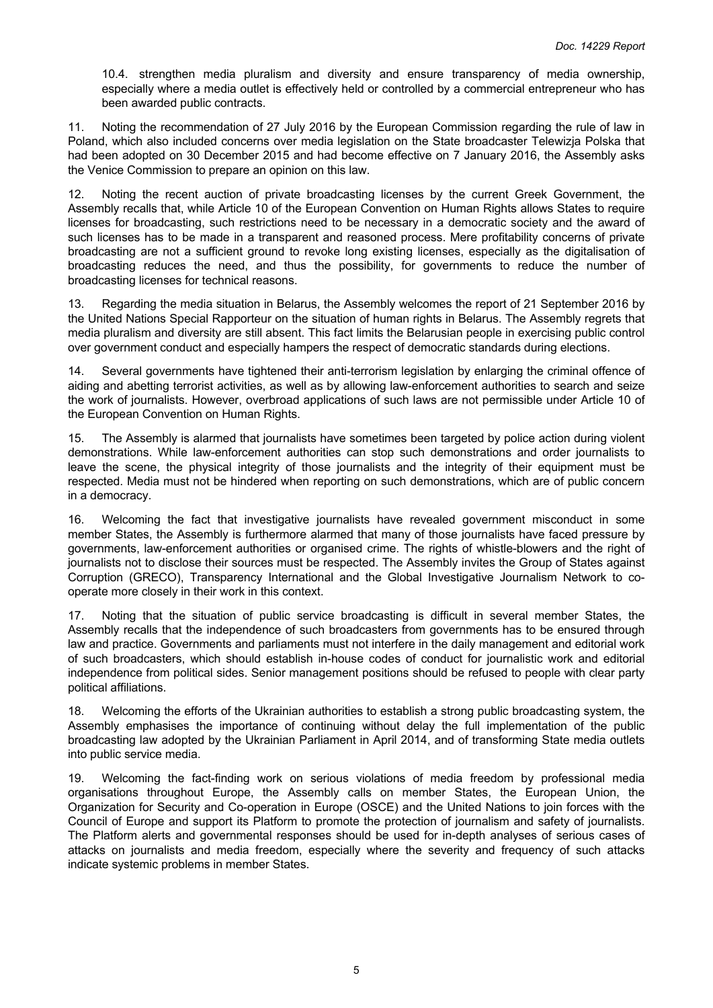10.4. strengthen media pluralism and diversity and ensure transparency of media ownership, especially where a media outlet is effectively held or controlled by a commercial entrepreneur who has been awarded public contracts.

11. Noting the recommendation of 27 July 2016 by the European Commission regarding the rule of law in Poland, which also included concerns over media legislation on the State broadcaster Telewizja Polska that had been adopted on 30 December 2015 and had become effective on 7 January 2016, the Assembly asks the Venice Commission to prepare an opinion on this law.

12. Noting the recent auction of private broadcasting licenses by the current Greek Government, the Assembly recalls that, while Article 10 of the European Convention on Human Rights allows States to require licenses for broadcasting, such restrictions need to be necessary in a democratic society and the award of such licenses has to be made in a transparent and reasoned process. Mere profitability concerns of private broadcasting are not a sufficient ground to revoke long existing licenses, especially as the digitalisation of broadcasting reduces the need, and thus the possibility, for governments to reduce the number of broadcasting licenses for technical reasons.

13. Regarding the media situation in Belarus, the Assembly welcomes the report of 21 September 2016 by the United Nations Special Rapporteur on the situation of human rights in Belarus. The Assembly regrets that media pluralism and diversity are still absent. This fact limits the Belarusian people in exercising public control over government conduct and especially hampers the respect of democratic standards during elections.

14. Several governments have tightened their anti-terrorism legislation by enlarging the criminal offence of aiding and abetting terrorist activities, as well as by allowing law-enforcement authorities to search and seize the work of journalists. However, overbroad applications of such laws are not permissible under Article 10 of the European Convention on Human Rights.

15. The Assembly is alarmed that journalists have sometimes been targeted by police action during violent demonstrations. While law-enforcement authorities can stop such demonstrations and order journalists to leave the scene, the physical integrity of those journalists and the integrity of their equipment must be respected. Media must not be hindered when reporting on such demonstrations, which are of public concern in a democracy.

16. Welcoming the fact that investigative journalists have revealed government misconduct in some member States, the Assembly is furthermore alarmed that many of those journalists have faced pressure by governments, law-enforcement authorities or organised crime. The rights of whistle-blowers and the right of journalists not to disclose their sources must be respected. The Assembly invites the Group of States against Corruption (GRECO), Transparency International and the Global Investigative Journalism Network to cooperate more closely in their work in this context.

17. Noting that the situation of public service broadcasting is difficult in several member States, the Assembly recalls that the independence of such broadcasters from governments has to be ensured through law and practice. Governments and parliaments must not interfere in the daily management and editorial work of such broadcasters, which should establish in-house codes of conduct for journalistic work and editorial independence from political sides. Senior management positions should be refused to people with clear party political affiliations.

18. Welcoming the efforts of the Ukrainian authorities to establish a strong public broadcasting system, the Assembly emphasises the importance of continuing without delay the full implementation of the public broadcasting law adopted by the Ukrainian Parliament in April 2014, and of transforming State media outlets into public service media.

19. Welcoming the fact-finding work on serious violations of media freedom by professional media organisations throughout Europe, the Assembly calls on member States, the European Union, the Organization for Security and Co-operation in Europe (OSCE) and the United Nations to join forces with the Council of Europe and support its Platform to promote the protection of journalism and safety of journalists. The Platform alerts and governmental responses should be used for in-depth analyses of serious cases of attacks on journalists and media freedom, especially where the severity and frequency of such attacks indicate systemic problems in member States.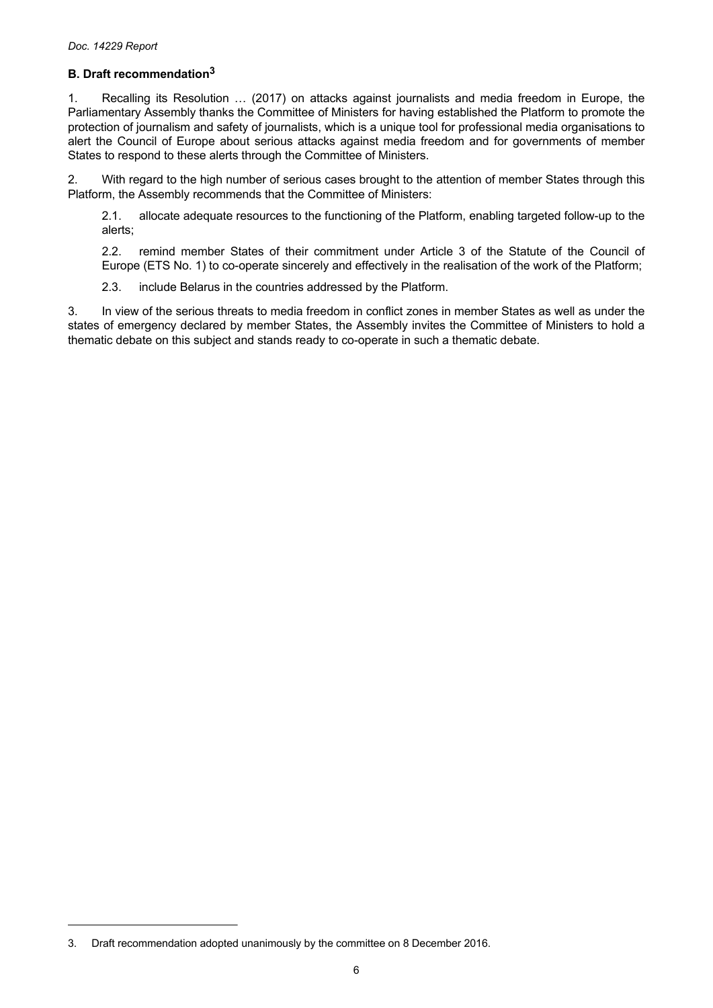# <span id="page-5-0"></span>**B. Draft recommendation<sup>3</sup>**

1. Recalling its Resolution … (2017) on attacks against journalists and media freedom in Europe, the Parliamentary Assembly thanks the Committee of Ministers for having established the Platform to promote the protection of journalism and safety of journalists, which is a unique tool for professional media organisations to alert the Council of Europe about serious attacks against media freedom and for governments of member States to respond to these alerts through the Committee of Ministers.

2. With regard to the high number of serious cases brought to the attention of member States through this Platform, the Assembly recommends that the Committee of Ministers:

2.1. allocate adequate resources to the functioning of the Platform, enabling targeted follow-up to the alerts;

2.2. remind member States of their commitment under Article 3 of the Statute of the Council of Europe (ETS No. 1) to co-operate sincerely and effectively in the realisation of the work of the Platform;

2.3. include Belarus in the countries addressed by the Platform.

3. In view of the serious threats to media freedom in conflict zones in member States as well as under the states of emergency declared by member States, the Assembly invites the Committee of Ministers to hold a thematic debate on this subject and stands ready to co-operate in such a thematic debate.

<sup>3.</sup> Draft recommendation adopted unanimously by the committee on 8 December 2016.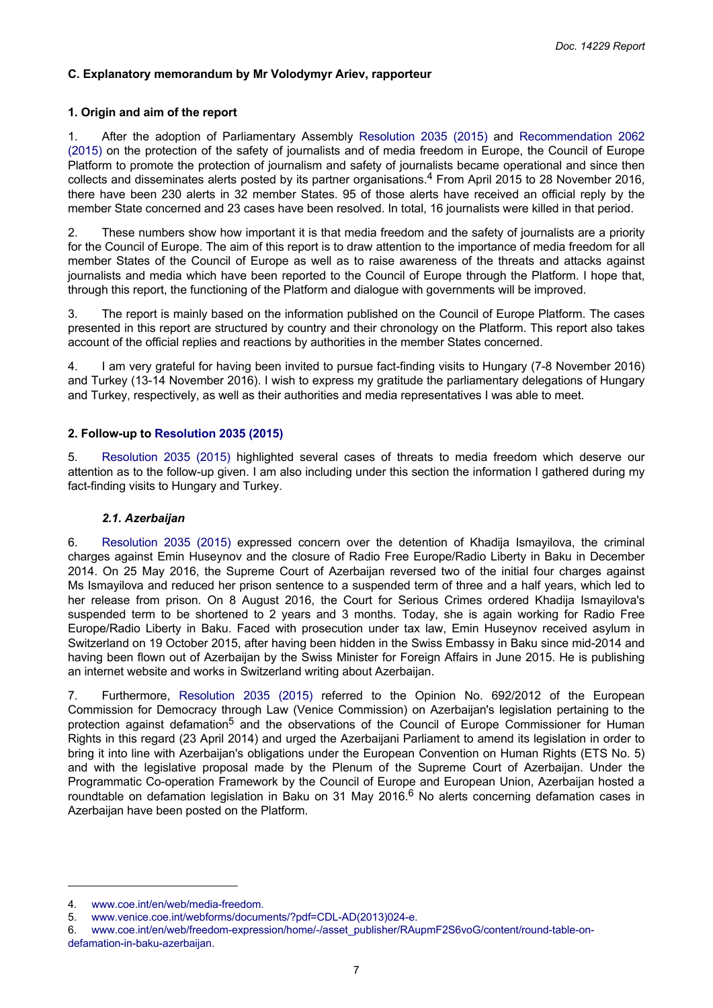## <span id="page-6-0"></span>**C. Explanatory memorandum by Mr Volodymyr Ariev, rapporteur**

## **1. Origin and aim of the report**

1. After the adoption of Parliamentary Assembly [Resolution](http://assembly.coe.int/nw/xml/XRef/Xref-DocDetails-en.asp?FileId=21544) 2035 (2015) and [Recommendation](http://assembly.coe.int/nw/xml/XRef/Xref-DocDetails-en.asp?FileId=21547) 2062 [\(2015\)](http://assembly.coe.int/nw/xml/XRef/Xref-DocDetails-en.asp?FileId=21547) on the protection of the safety of journalists and of media freedom in Europe, the Council of Europe Platform to promote the protection of journalism and safety of journalists became operational and since then collects and disseminates alerts posted by its partner organisations.<sup>4</sup> From April 2015 to 28 November 2016, there have been 230 alerts in 32 member States. 95 of those alerts have received an official reply by the member State concerned and 23 cases have been resolved. In total, 16 journalists were killed in that period.

2. These numbers show how important it is that media freedom and the safety of journalists are a priority for the Council of Europe. The aim of this report is to draw attention to the importance of media freedom for all member States of the Council of Europe as well as to raise awareness of the threats and attacks against journalists and media which have been reported to the Council of Europe through the Platform. I hope that, through this report, the functioning of the Platform and dialogue with governments will be improved.

3. The report is mainly based on the information published on the Council of Europe Platform. The cases presented in this report are structured by country and their chronology on the Platform. This report also takes account of the official replies and reactions by authorities in the member States concerned.

4. I am very grateful for having been invited to pursue fact-finding visits to Hungary (7-8 November 2016) and Turkey (13-14 November 2016). I wish to express my gratitude the parliamentary delegations of Hungary and Turkey, respectively, as well as their authorities and media representatives I was able to meet.

# **2. Follow-up to [Resolution 2035 \(2015\)](http://assembly.coe.int/nw/xml/XRef/Xref-DocDetails-en.asp?FileId=21544)**

5. [Resolution](http://assembly.coe.int/nw/xml/XRef/Xref-DocDetails-en.asp?FileId=21544) 2035 (2015) highlighted several cases of threats to media freedom which deserve our attention as to the follow-up given. I am also including under this section the information I gathered during my fact-finding visits to Hungary and Turkey.

## *2.1. Azerbaijan*

6. [Resolution](http://assembly.coe.int/nw/xml/XRef/Xref-DocDetails-en.asp?FileId=21544) 2035 (2015) expressed concern over the detention of Khadija Ismayilova, the criminal charges against Emin Huseynov and the closure of Radio Free Europe/Radio Liberty in Baku in December 2014. On 25 May 2016, the Supreme Court of Azerbaijan reversed two of the initial four charges against Ms Ismayilova and reduced her prison sentence to a suspended term of three and a half years, which led to her release from prison. On 8 August 2016, the Court for Serious Crimes ordered Khadija Ismayilova's suspended term to be shortened to 2 years and 3 months. Today, she is again working for Radio Free Europe/Radio Liberty in Baku. Faced with prosecution under tax law, Emin Huseynov received asylum in Switzerland on 19 October 2015, after having been hidden in the Swiss Embassy in Baku since mid-2014 and having been flown out of Azerbaijan by the Swiss Minister for Foreign Affairs in June 2015. He is publishing an internet website and works in Switzerland writing about Azerbaijan.

7. Furthermore, [Resolution](http://assembly.coe.int/nw/xml/XRef/Xref-DocDetails-en.asp?FileId=21544) 2035 (2015) referred to the Opinion No. 692/2012 of the European Commission for Democracy through Law (Venice Commission) on Azerbaijan's legislation pertaining to the protection against defamation<sup>5</sup> and the observations of the Council of Europe Commissioner for Human Rights in this regard (23 April 2014) and urged the Azerbaijani Parliament to amend its legislation in order to bring it into line with Azerbaijan's obligations under the European Convention on Human Rights (ETS No. 5) and with the legislative proposal made by the Plenum of the Supreme Court of Azerbaijan. Under the Programmatic Co-operation Framework by the Council of Europe and European Union, Azerbaijan hosted a roundtable on defamation legislation in Baku on 31 May 2016.<sup>6</sup> No alerts concerning defamation cases in Azerbaijan have been posted on the Platform.

<sup>4.</sup> [www.coe.int/en/web/media-freedom.](http://www.coe.int/en/web/media-freedom)

<sup>5.</sup> [www.venice.coe.int/webforms/documents/?pdf=CDL-AD\(2013\)024-e.](http://www.venice.coe.int/webforms/documents/?pdf=CDL-AD(2013)024-e)

<sup>6.</sup> [www.coe.int/en/web/freedom-expression/home/-/asset\\_publisher/RAupmF2S6voG/content/round-table-on](http://www.coe.int/en/web/freedom-expression/home/-/asset_publisher/RAupmF2S6voG/content/round-table-on-defamation-in-baku-azerbaijan)[defamation-in-baku-azerbaijan.](http://www.coe.int/en/web/freedom-expression/home/-/asset_publisher/RAupmF2S6voG/content/round-table-on-defamation-in-baku-azerbaijan)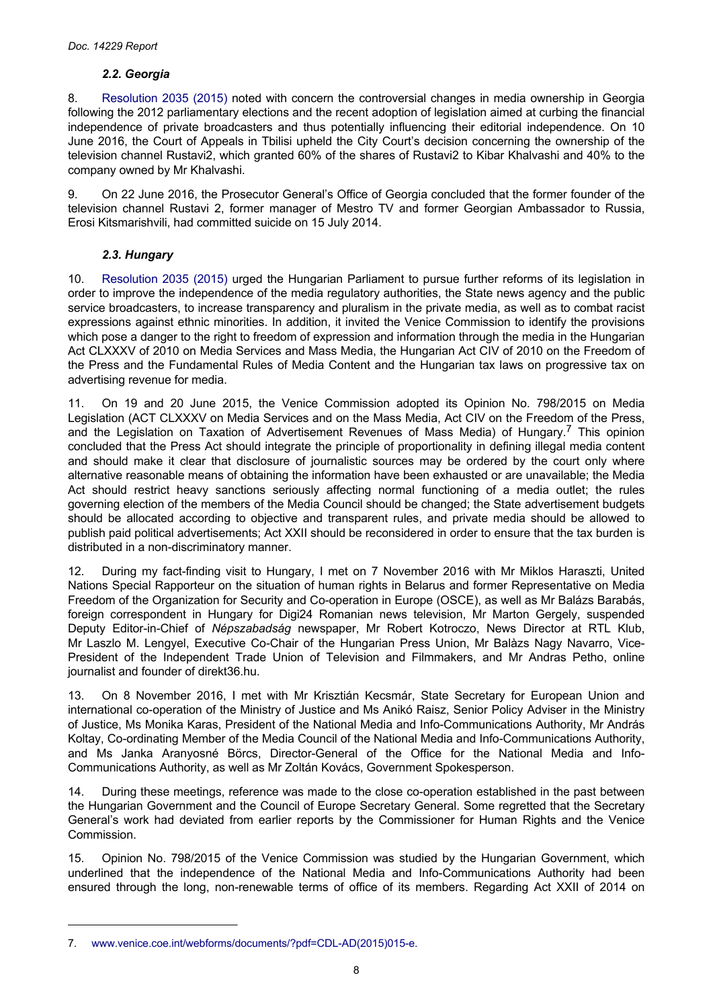# *2.2. Georgia*

<span id="page-7-0"></span>8. [Resolution](http://assembly.coe.int/nw/xml/XRef/Xref-DocDetails-en.asp?FileId=21544) 2035 (2015) noted with concern the controversial changes in media ownership in Georgia following the 2012 parliamentary elections and the recent adoption of legislation aimed at curbing the financial independence of private broadcasters and thus potentially influencing their editorial independence. On 10 June 2016, the Court of Appeals in Tbilisi upheld the City Court's decision concerning the ownership of the television channel Rustavi2, which granted 60% of the shares of Rustavi2 to Kibar Khalvashi and 40% to the company owned by Mr Khalvashi.

9. On 22 June 2016, the Prosecutor General's Office of Georgia concluded that the former founder of the television channel Rustavi 2, former manager of Mestro TV and former Georgian Ambassador to Russia, Erosi Kitsmarishvili, had committed suicide on 15 July 2014.

# *2.3. Hungary*

10. [Resolution](http://assembly.coe.int/nw/xml/XRef/Xref-DocDetails-en.asp?FileId=21544) 2035 (2015) urged the Hungarian Parliament to pursue further reforms of its legislation in order to improve the independence of the media regulatory authorities, the State news agency and the public service broadcasters, to increase transparency and pluralism in the private media, as well as to combat racist expressions against ethnic minorities. In addition, it invited the Venice Commission to identify the provisions which pose a danger to the right to freedom of expression and information through the media in the Hungarian Act CLXXXV of 2010 on Media Services and Mass Media, the Hungarian Act CIV of 2010 on the Freedom of the Press and the Fundamental Rules of Media Content and the Hungarian tax laws on progressive tax on advertising revenue for media.

11. On 19 and 20 June 2015, the Venice Commission adopted its Opinion No. 798/2015 on Media Legislation (ACT CLXXXV on Media Services and on the Mass Media, Act CIV on the Freedom of the Press, and the Legislation on Taxation of Advertisement Revenues of Mass Media) of Hungary.<sup>7</sup> This opinion concluded that the Press Act should integrate the principle of proportionality in defining illegal media content and should make it clear that disclosure of journalistic sources may be ordered by the court only where alternative reasonable means of obtaining the information have been exhausted or are unavailable; the Media Act should restrict heavy sanctions seriously affecting normal functioning of a media outlet; the rules governing election of the members of the Media Council should be changed; the State advertisement budgets should be allocated according to objective and transparent rules, and private media should be allowed to publish paid political advertisements; Act XXII should be reconsidered in order to ensure that the tax burden is distributed in a non-discriminatory manner.

12. During my fact-finding visit to Hungary, I met on 7 November 2016 with Mr Miklos Haraszti, United Nations Special Rapporteur on the situation of human rights in Belarus and former Representative on Media Freedom of the Organization for Security and Co-operation in Europe (OSCE), as well as Mr Balázs Barabás, foreign correspondent in Hungary for Digi24 Romanian news television, Mr Marton Gergely, suspended Deputy Editor-in-Chief of *Népszabadság* newspaper, Mr Robert Kotroczo, News Director at RTL Klub, Mr Laszlo M. Lengyel, Executive Co-Chair of the Hungarian Press Union, Mr Balàzs Nagy Navarro, Vice-President of the Independent Trade Union of Television and Filmmakers, and Mr Andras Petho, online journalist and founder of direkt36.hu.

13. On 8 November 2016, I met with Mr Krisztián Kecsmár, State Secretary for European Union and international co-operation of the Ministry of Justice and Ms Anikó Raisz, Senior Policy Adviser in the Ministry of Justice, Ms Monika Karas, President of the National Media and Info-Communications Authority, Mr András Koltay, Co-ordinating Member of the Media Council of the National Media and Info-Communications Authority, and Ms Janka Aranyosné Börcs, Director-General of the Office for the National Media and Info-Communications Authority, as well as Mr Zoltán Kovács, Government Spokesperson.

14. During these meetings, reference was made to the close co-operation established in the past between the Hungarian Government and the Council of Europe Secretary General. Some regretted that the Secretary General's work had deviated from earlier reports by the Commissioner for Human Rights and the Venice Commission.

15. Opinion No. 798/2015 of the Venice Commission was studied by the Hungarian Government, which underlined that the independence of the National Media and Info-Communications Authority had been ensured through the long, non-renewable terms of office of its members. Regarding Act XXII of 2014 on

<sup>7.</sup> [www.venice.coe.int/webforms/documents/?pdf=CDL-AD\(2015\)015-e.](http://www.venice.coe.int/webforms/documents/?pdf=CDL-AD(2015)015-e)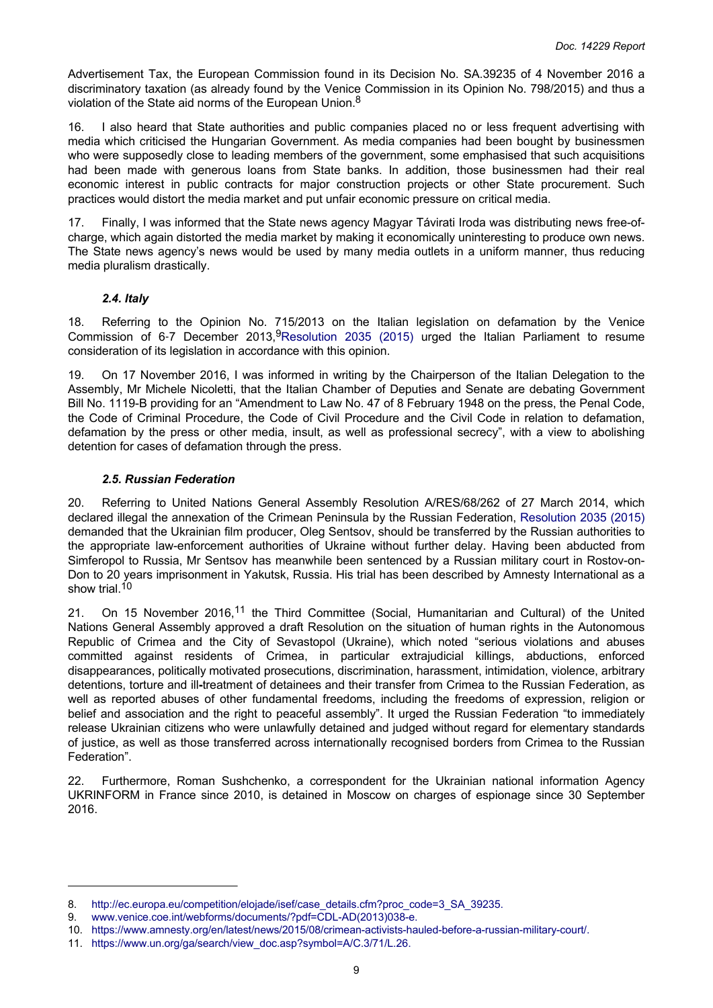<span id="page-8-0"></span>Advertisement Tax, the European Commission found in its Decision No. SA.39235 of 4 November 2016 a discriminatory taxation (as already found by the Venice Commission in its Opinion No. 798/2015) and thus a violation of the State aid norms of the European Union.<sup>8</sup>

16. I also heard that State authorities and public companies placed no or less frequent advertising with media which criticised the Hungarian Government. As media companies had been bought by businessmen who were supposedly close to leading members of the government, some emphasised that such acquisitions had been made with generous loans from State banks. In addition, those businessmen had their real economic interest in public contracts for major construction projects or other State procurement. Such practices would distort the media market and put unfair economic pressure on critical media.

17. Finally, I was informed that the State news agency Magyar Távirati Iroda was distributing news free-ofcharge, which again distorted the media market by making it economically uninteresting to produce own news. The State news agency's news would be used by many media outlets in a uniform manner, thus reducing media pluralism drastically.

#### *2.4. Italy*

18. Referring to the Opinion No. 715/2013 on the Italian legislation on defamation by the Venice Commission of 6-7 December 2013, <sup>9</sup>[Resolution](http://assembly.coe.int/nw/xml/XRef/Xref-DocDetails-en.asp?FileId=21544) 2035 (2015) urged the Italian Parliament to resume consideration of its legislation in accordance with this opinion.

19. On 17 November 2016, I was informed in writing by the Chairperson of the Italian Delegation to the Assembly, Mr Michele Nicoletti, that the Italian Chamber of Deputies and Senate are debating Government Bill No. 1119-B providing for an "Amendment to Law No. 47 of 8 February 1948 on the press, the Penal Code, the Code of Criminal Procedure, the Code of Civil Procedure and the Civil Code in relation to defamation, defamation by the press or other media, insult, as well as professional secrecy", with a view to abolishing detention for cases of defamation through the press.

#### *2.5. Russian Federation*

20. Referring to United Nations General Assembly Resolution A/RES/68/262 of 27 March 2014, which declared illegal the annexation of the Crimean Peninsula by the Russian Federation, [Resolution](http://assembly.coe.int/nw/xml/XRef/Xref-DocDetails-en.asp?FileId=21544) 2035 (2015) demanded that the Ukrainian film producer, Oleg Sentsov, should be transferred by the Russian authorities to the appropriate law-enforcement authorities of Ukraine without further delay. Having been abducted from Simferopol to Russia, Mr Sentsov has meanwhile been sentenced by a Russian military court in Rostov-on-Don to 20 years imprisonment in Yakutsk, Russia. His trial has been described by Amnesty International as a show trial.<sup>10</sup>

21. On 15 November 2016,<sup>11</sup> the Third Committee (Social, Humanitarian and Cultural) of the United Nations General Assembly approved a draft Resolution on the situation of human rights in the Autonomous Republic of Crimea and the City of Sevastopol (Ukraine), which noted "serious violations and abuses committed against residents of Crimea, in particular extrajudicial killings, abductions, enforced disappearances, politically motivated prosecutions, discrimination, harassment, intimidation, violence, arbitrary detentions, torture and ill**-**treatment of detainees and their transfer from Crimea to the Russian Federation, as well as reported abuses of other fundamental freedoms, including the freedoms of expression, religion or belief and association and the right to peaceful assembly". It urged the Russian Federation "to immediately release Ukrainian citizens who were unlawfully detained and judged without regard for elementary standards of justice, as well as those transferred across internationally recognised borders from Crimea to the Russian Federation".

22. Furthermore, Roman Sushchenko, a correspondent for the Ukrainian national information Agency UKRINFORM in France since 2010, is detained in Moscow on charges of espionage since 30 September 2016.

<sup>8.</sup> [http://ec.europa.eu/competition/elojade/isef/case\\_details.cfm?proc\\_code=3\\_SA\\_39235.](http://ec.europa.eu/competition/elojade/isef/case_details.cfm?proc_code=3_SA_39235)

<sup>9.</sup> [www.venice.coe.int/webforms/documents/?pdf=CDL-AD\(2013\)038-e.](http://www.venice.coe.int/webforms/documents/?pdf=CDL-AD(2013)038-e)

<sup>10.</sup> [https://www.amnesty.org/en/latest/news/2015/08/crimean-activists-hauled-before-a-russian-military-court/.](https://www.amnesty.org/en/latest/news/2015/08/crimean-activists-hauled-before-a-russian-military-court/)

<sup>11.</sup> [https://www.un.org/ga/search/view\\_doc.asp?symbol=A/C.3/71/L.26.](https://www.un.org/ga/search/view_doc.asp?symbol=A/C.3/71/L.26)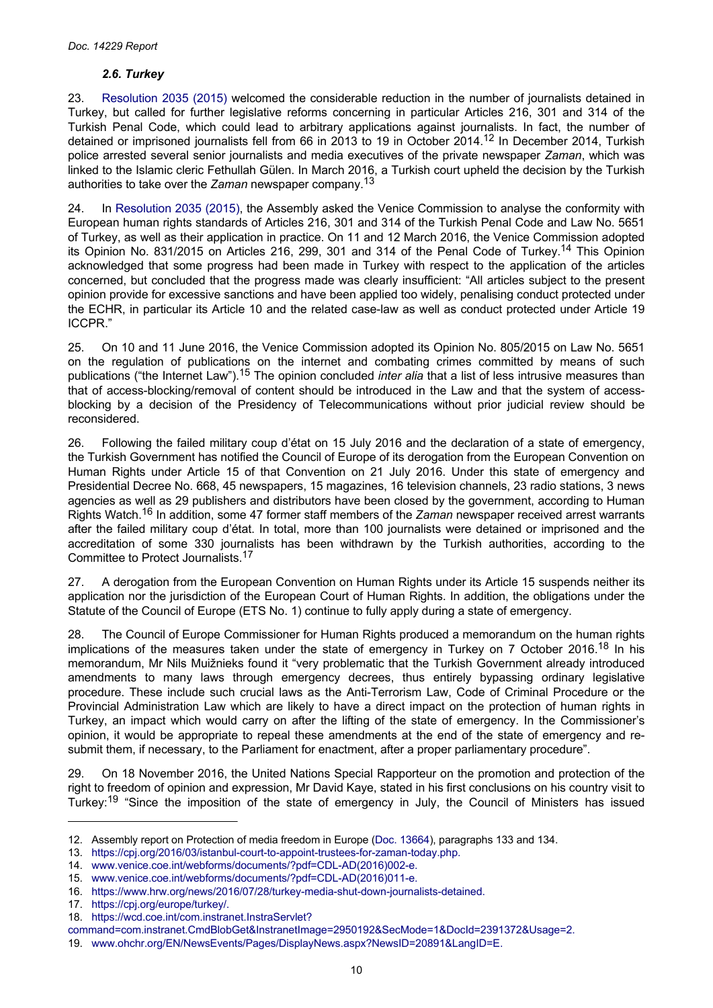# *2.6. Turkey*

<span id="page-9-0"></span>23. [Resolution](http://assembly.coe.int/nw/xml/XRef/Xref-DocDetails-en.asp?FileId=21544) 2035 (2015) welcomed the considerable reduction in the number of journalists detained in Turkey, but called for further legislative reforms concerning in particular Articles 216, 301 and 314 of the Turkish Penal Code, which could lead to arbitrary applications against journalists. In fact, the number of detained or imprisoned journalists fell from 66 in 2013 to 19 in October 2014.<sup>12</sup> In December 2014, Turkish police arrested several senior journalists and media executives of the private newspaper *Zaman*, which was linked to the Islamic cleric Fethullah Gülen. In March 2016, a Turkish court upheld the decision by the Turkish authorities to take over the *Zaman* newspaper company.<sup>13</sup>

24. In [Resolution](http://assembly.coe.int/nw/xml/XRef/Xref-DocDetails-en.asp?FileId=21544) 2035 (2015), the Assembly asked the Venice Commission to analyse the conformity with European human rights standards of Articles 216, 301 and 314 of the Turkish Penal Code and Law No. 5651 of Turkey, as well as their application in practice. On 11 and 12 March 2016, the Venice Commission adopted its Opinion No. 831/2015 on Articles 216, 299, 301 and 314 of the Penal Code of Turkey.<sup>14</sup> This Opinion acknowledged that some progress had been made in Turkey with respect to the application of the articles concerned, but concluded that the progress made was clearly insufficient: "All articles subject to the present opinion provide for excessive sanctions and have been applied too widely, penalising conduct protected under the ECHR, in particular its Article 10 and the related case-law as well as conduct protected under Article 19 ICCPR."

25. On 10 and 11 June 2016, the Venice Commission adopted its Opinion No. 805/2015 on Law No. 5651 on the regulation of publications on the internet and combating crimes committed by means of such publications ("the Internet Law").<sup>15</sup> The opinion concluded *inter alia* that a list of less intrusive measures than that of access-blocking/removal of content should be introduced in the Law and that the system of accessblocking by a decision of the Presidency of Telecommunications without prior judicial review should be reconsidered.

26. Following the failed military coup d'état on 15 July 2016 and the declaration of a state of emergency, the Turkish Government has notified the Council of Europe of its derogation from the European Convention on Human Rights under Article 15 of that Convention on 21 July 2016. Under this state of emergency and Presidential Decree No. 668, 45 newspapers, 15 magazines, 16 television channels, 23 radio stations, 3 news agencies as well as 29 publishers and distributors have been closed by the government, according to Human Rights Watch.16 In addition, some 47 former staff members of the *Zaman* newspaper received arrest warrants after the failed military coup d'état. In total, more than 100 journalists were detained or imprisoned and the accreditation of some 330 journalists has been withdrawn by the Turkish authorities, according to the Committee to Protect Journalists.<sup>17</sup>

27. A derogation from the European Convention on Human Rights under its Article 15 suspends neither its application nor the jurisdiction of the European Court of Human Rights. In addition, the obligations under the Statute of the Council of Europe (ETS No. 1) continue to fully apply during a state of emergency.

28. The Council of Europe Commissioner for Human Rights produced a memorandum on the human rights implications of the measures taken under the state of emergency in Turkey on 7 October 2016.<sup>18</sup> In his memorandum, Mr Nils Muižnieks found it "very problematic that the Turkish Government already introduced amendments to many laws through emergency decrees, thus entirely bypassing ordinary legislative procedure. These include such crucial laws as the Anti-Terrorism Law, Code of Criminal Procedure or the Provincial Administration Law which are likely to have a direct impact on the protection of human rights in Turkey, an impact which would carry on after the lifting of the state of emergency. In the Commissioner's opinion, it would be appropriate to repeal these amendments at the end of the state of emergency and resubmit them, if necessary, to the Parliament for enactment, after a proper parliamentary procedure".

29. On 18 November 2016, the United Nations Special Rapporteur on the promotion and protection of the right to freedom of opinion and expression, Mr David Kaye, stated in his first conclusions on his country visit to Turkey:<sup>19</sup> "Since the imposition of the state of emergency in July, the Council of Ministers has issued

<sup>12.</sup> Assembly report on Protection of media freedom in Europe [\(Doc. 13664\)](http://assembly.coe.int/nw/xml/XRef/Xref-DocDetails-en.asp?FileId=21350), paragraphs 133 and 134.

<sup>13.</sup> [https://cpj.org/2016/03/istanbul-court-to-appoint-trustees-for-zaman-today.php.](https://cpj.org/2016/03/istanbul-court-to-appoint-trustees-for-zaman-today.php)

<sup>14.</sup> [www.venice.coe.int/webforms/documents/?pdf=CDL-AD\(2016\)002-e.](http://www.venice.coe.int/webforms/documents/?pdf=CDL-AD(2016)002-e)

<sup>15.</sup> [www.venice.coe.int/webforms/documents/?pdf=CDL-AD\(2016\)011-e.](http://www.venice.coe.int/webforms/documents/?pdf=CDL-AD(2016)011-e)

<sup>16.</sup> [https://www.hrw.org/news/2016/07/28/turkey-media-shut-down-journalists-detained.](https://www.hrw.org/news/2016/07/28/turkey-media-shut-down-journalists-detained)

<sup>17.</sup> [https://cpj.org/europe/turkey/.](https://cpj.org/europe/turkey/)

<sup>18.</sup> [https://wcd.coe.int/com.instranet.InstraServlet?](https://wcd.coe.int/com.instranet.InstraServlet?command=com.instranet.CmdBlobGet&InstranetImage=2950192&SecMode=1&DocId=2391372&Usage=2)

[command=com.instranet.CmdBlobGet&InstranetImage=2950192&SecMode=1&DocId=2391372&Usage=2.](https://wcd.coe.int/com.instranet.InstraServlet?command=com.instranet.CmdBlobGet&InstranetImage=2950192&SecMode=1&DocId=2391372&Usage=2)

<sup>19.</sup> [www.ohchr.org/EN/NewsEvents/Pages/DisplayNews.aspx?NewsID=20891&LangID=E.](http://www.ohchr.org/EN/NewsEvents/Pages/DisplayNews.aspx?NewsID=20891&LangID=E)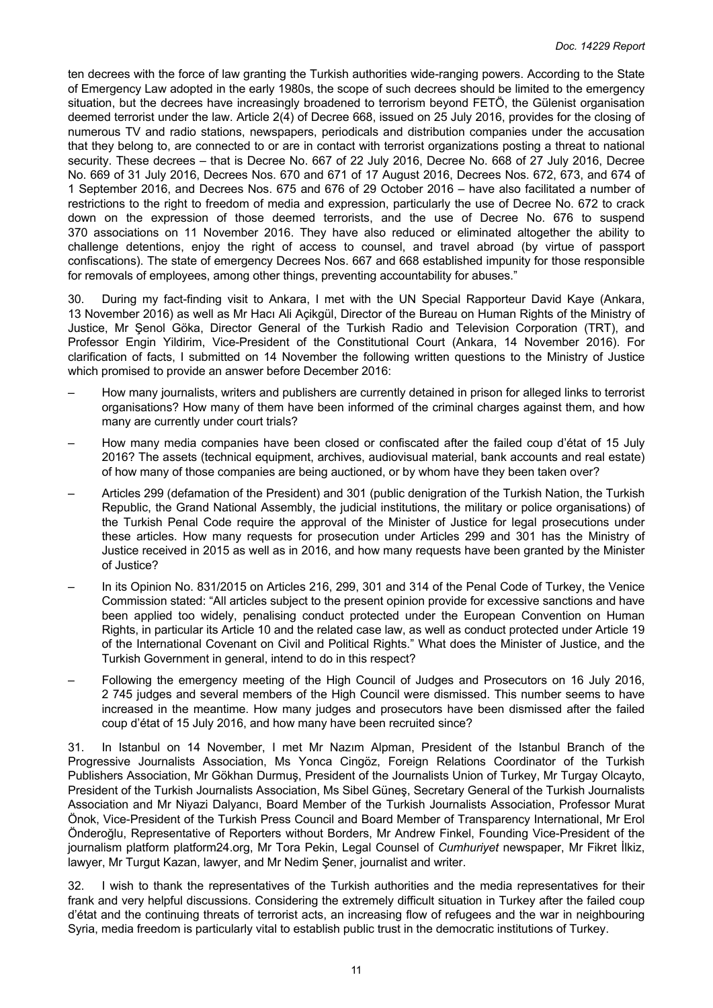ten decrees with the force of law granting the Turkish authorities wide-ranging powers. According to the State of Emergency Law adopted in the early 1980s, the scope of such decrees should be limited to the emergency situation, but the decrees have increasingly broadened to terrorism beyond FETÖ, the Gülenist organisation deemed terrorist under the law. Article 2(4) of Decree 668, issued on 25 July 2016, provides for the closing of numerous TV and radio stations, newspapers, periodicals and distribution companies under the accusation that they belong to, are connected to or are in contact with terrorist organizations posting a threat to national security. These decrees – that is Decree No. 667 of 22 July 2016, Decree No. 668 of 27 July 2016, Decree No. 669 of 31 July 2016, Decrees Nos. 670 and 671 of 17 August 2016, Decrees Nos. 672, 673, and 674 of 1 September 2016, and Decrees Nos. 675 and 676 of 29 October 2016 – have also facilitated a number of restrictions to the right to freedom of media and expression, particularly the use of Decree No. 672 to crack down on the expression of those deemed terrorists, and the use of Decree No. 676 to suspend 370 associations on 11 November 2016. They have also reduced or eliminated altogether the ability to challenge detentions, enjoy the right of access to counsel, and travel abroad (by virtue of passport confiscations). The state of emergency Decrees Nos. 667 and 668 established impunity for those responsible for removals of employees, among other things, preventing accountability for abuses."

30. During my fact-finding visit to Ankara, I met with the UN Special Rapporteur David Kaye (Ankara, 13 November 2016) as well as Mr Hacı Ali Açikgül, Director of the Bureau on Human Rights of the Ministry of Justice, Mr Şenol Göka, Director General of the Turkish Radio and Television Corporation (TRT), and Professor Engin Yildirim, Vice-President of the Constitutional Court (Ankara, 14 November 2016). For clarification of facts, I submitted on 14 November the following written questions to the Ministry of Justice which promised to provide an answer before December 2016:

- How many journalists, writers and publishers are currently detained in prison for alleged links to terrorist organisations? How many of them have been informed of the criminal charges against them, and how many are currently under court trials?
- How many media companies have been closed or confiscated after the failed coup d'état of 15 July 2016? The assets (technical equipment, archives, audiovisual material, bank accounts and real estate) of how many of those companies are being auctioned, or by whom have they been taken over?
- Articles 299 (defamation of the President) and 301 (public denigration of the Turkish Nation, the Turkish Republic, the Grand National Assembly, the judicial institutions, the military or police organisations) of the Turkish Penal Code require the approval of the Minister of Justice for legal prosecutions under these articles. How many requests for prosecution under Articles 299 and 301 has the Ministry of Justice received in 2015 as well as in 2016, and how many requests have been granted by the Minister of Justice?
- In its Opinion No. 831/2015 on Articles 216, 299, 301 and 314 of the Penal Code of Turkey, the Venice Commission stated: "All articles subject to the present opinion provide for excessive sanctions and have been applied too widely, penalising conduct protected under the European Convention on Human Rights, in particular its Article 10 and the related case law, as well as conduct protected under Article 19 of the International Covenant on Civil and Political Rights." What does the Minister of Justice, and the Turkish Government in general, intend to do in this respect?
- Following the emergency meeting of the High Council of Judges and Prosecutors on 16 July 2016, 2 745 judges and several members of the High Council were dismissed. This number seems to have increased in the meantime. How many judges and prosecutors have been dismissed after the failed coup d'état of 15 July 2016, and how many have been recruited since?

31. In Istanbul on 14 November, I met Mr Nazım Alpman, President of the Istanbul Branch of the Progressive Journalists Association, Ms Yonca Cingöz, Foreign Relations Coordinator of the Turkish Publishers Association, Mr Gökhan Durmuş, President of the Journalists Union of Turkey, Mr Turgay Olcayto, President of the Turkish Journalists Association, Ms Sibel Güneş, Secretary General of the Turkish Journalists Association and Mr Niyazi Dalyancı, Board Member of the Turkish Journalists Association, Professor Murat Önok, Vice-President of the Turkish Press Council and Board Member of Transparency International, Mr Erol Önderoğlu, Representative of Reporters without Borders, Mr Andrew Finkel, Founding Vice-President of the journalism platform platform24.org, Mr Tora Pekin, Legal Counsel of *Cumhuriyet* newspaper, Mr Fikret İlkiz, lawyer, Mr Turgut Kazan, lawyer, and Mr Nedim Şener, journalist and writer.

32. I wish to thank the representatives of the Turkish authorities and the media representatives for their frank and very helpful discussions. Considering the extremely difficult situation in Turkey after the failed coup d'état and the continuing threats of terrorist acts, an increasing flow of refugees and the war in neighbouring Syria, media freedom is particularly vital to establish public trust in the democratic institutions of Turkey.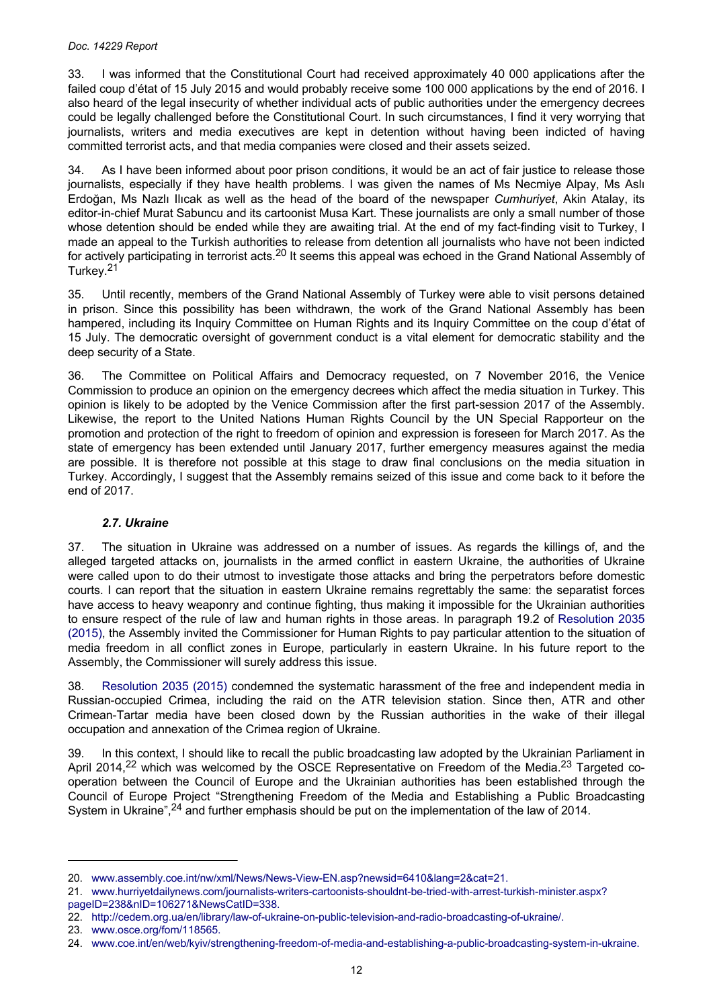#### <span id="page-11-0"></span>*Doc. 14229 Report*

33. I was informed that the Constitutional Court had received approximately 40 000 applications after the failed coup d'état of 15 July 2015 and would probably receive some 100 000 applications by the end of 2016. I also heard of the legal insecurity of whether individual acts of public authorities under the emergency decrees could be legally challenged before the Constitutional Court. In such circumstances, I find it very worrying that journalists, writers and media executives are kept in detention without having been indicted of having committed terrorist acts, and that media companies were closed and their assets seized.

34. As I have been informed about poor prison conditions, it would be an act of fair justice to release those journalists, especially if they have health problems. I was given the names of Ms Necmiye Alpay, Ms Aslı Erdoğan, Ms Nazlı Ilıcak as well as the head of the board of the newspaper *Cumhuriyet*, Akin Atalay, its editor-in-chief Murat Sabuncu and its cartoonist Musa Kart. These journalists are only a small number of those whose detention should be ended while they are awaiting trial. At the end of my fact-finding visit to Turkey, I made an appeal to the Turkish authorities to release from detention all journalists who have not been indicted for actively participating in terrorist acts.20 It seems this appeal was echoed in the Grand National Assembly of Turkey.<sup>21</sup>

35. Until recently, members of the Grand National Assembly of Turkey were able to visit persons detained in prison. Since this possibility has been withdrawn, the work of the Grand National Assembly has been hampered, including its Inquiry Committee on Human Rights and its Inquiry Committee on the coup d'état of 15 July. The democratic oversight of government conduct is a vital element for democratic stability and the deep security of a State.

36. The Committee on Political Affairs and Democracy requested, on 7 November 2016, the Venice Commission to produce an opinion on the emergency decrees which affect the media situation in Turkey. This opinion is likely to be adopted by the Venice Commission after the first part-session 2017 of the Assembly. Likewise, the report to the United Nations Human Rights Council by the UN Special Rapporteur on the promotion and protection of the right to freedom of opinion and expression is foreseen for March 2017. As the state of emergency has been extended until January 2017, further emergency measures against the media are possible. It is therefore not possible at this stage to draw final conclusions on the media situation in Turkey. Accordingly, I suggest that the Assembly remains seized of this issue and come back to it before the end of 2017.

# *2.7. Ukraine*

37. The situation in Ukraine was addressed on a number of issues. As regards the killings of, and the alleged targeted attacks on, journalists in the armed conflict in eastern Ukraine, the authorities of Ukraine were called upon to do their utmost to investigate those attacks and bring the perpetrators before domestic courts. I can report that the situation in eastern Ukraine remains regrettably the same: the separatist forces have access to heavy weaponry and continue fighting, thus making it impossible for the Ukrainian authorities to ensure respect of the rule of law and human rights in those areas. In paragraph 19.2 of [Resolution](http://assembly.coe.int/nw/xml/XRef/Xref-DocDetails-en.asp?FileId=21544) 2035 [\(2015\)](http://assembly.coe.int/nw/xml/XRef/Xref-DocDetails-en.asp?FileId=21544), the Assembly invited the Commissioner for Human Rights to pay particular attention to the situation of media freedom in all conflict zones in Europe, particularly in eastern Ukraine. In his future report to the Assembly, the Commissioner will surely address this issue.

38. [Resolution](http://assembly.coe.int/nw/xml/XRef/Xref-DocDetails-en.asp?FileId=21544) 2035 (2015) condemned the systematic harassment of the free and independent media in Russian-occupied Crimea, including the raid on the ATR television station. Since then, ATR and other Crimean-Tartar media have been closed down by the Russian authorities in the wake of their illegal occupation and annexation of the Crimea region of Ukraine.

39. In this context, I should like to recall the public broadcasting law adopted by the Ukrainian Parliament in April 2014,<sup>22</sup> which was welcomed by the OSCE Representative on Freedom of the Media.<sup>23</sup> Targeted cooperation between the Council of Europe and the Ukrainian authorities has been established through the Council of Europe Project "Strengthening Freedom of the Media and Establishing a Public Broadcasting System in Ukraine",<sup>24</sup> and further emphasis should be put on the implementation of the law of 2014.

<sup>20.</sup> [www.assembly.coe.int/nw/xml/News/News-View-EN.asp?newsid=6410&lang=2&cat=21.](http://www.assembly.coe.int/nw/xml/News/News-View-EN.asp?newsid=6410&lang=2&cat=21)

<sup>21.</sup> [www.hurriyetdailynews.com/journalists-writers-cartoonists-shouldnt-be-tried-with-arrest-turkish-minister.aspx?](http://www.hurriyetdailynews.com/journalists-writers-cartoonists-shouldnt-be-tried-with-arrest-turkish-minister.aspx?pageID=238&nID=106271&NewsCatID=338) [pageID=238&nID=106271&NewsCatID=338.](http://www.hurriyetdailynews.com/journalists-writers-cartoonists-shouldnt-be-tried-with-arrest-turkish-minister.aspx?pageID=238&nID=106271&NewsCatID=338)

<sup>22.</sup> [http://cedem.org.ua/en/library/law-of-ukraine-on-public-television-and-radio-broadcasting-of-ukraine/.](http://cedem.org.ua/en/library/law-of-ukraine-on-public-television-and-radio-broadcasting-of-ukraine/)

<sup>23.</sup> [www.osce.org/fom/118565.](http://www.osce.org/fom/118565)

<sup>24.</sup> [www.coe.int/en/web/kyiv/strengthening-freedom-of-media-and-establishing-a-public-broadcasting-system-in-ukraine.](http://www.coe.int/en/web/kyiv/strengthening-freedom-of-media-and-establishing-a-public-broadcasting-system-in-ukraine)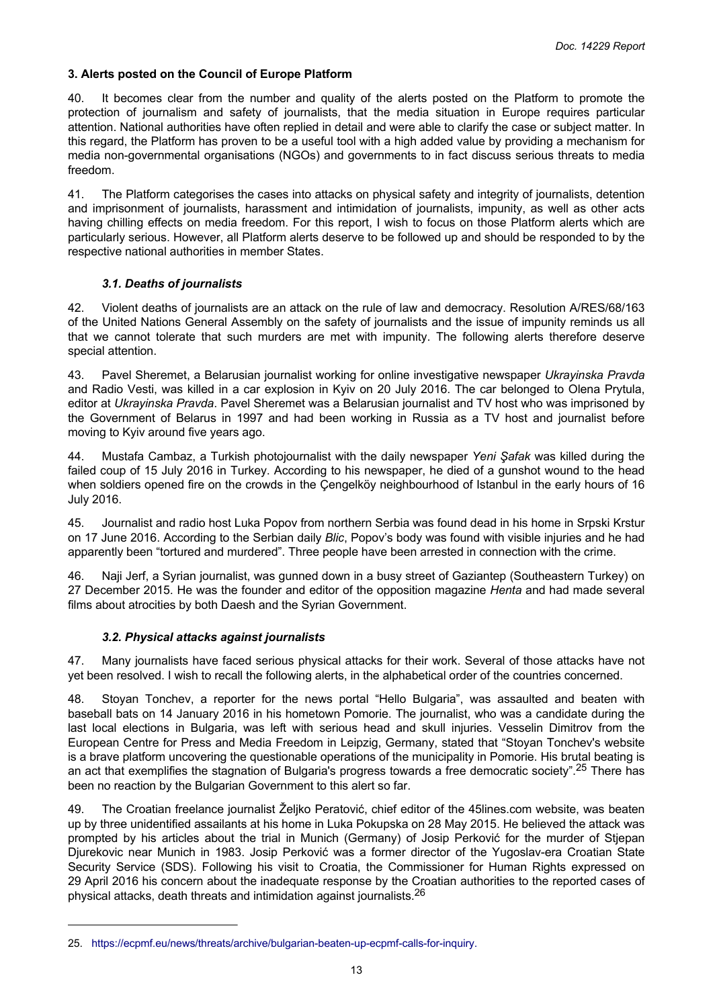# <span id="page-12-0"></span>**3. Alerts posted on the Council of Europe Platform**

40. It becomes clear from the number and quality of the alerts posted on the Platform to promote the protection of journalism and safety of journalists, that the media situation in Europe requires particular attention. National authorities have often replied in detail and were able to clarify the case or subject matter. In this regard, the Platform has proven to be a useful tool with a high added value by providing a mechanism for media non-governmental organisations (NGOs) and governments to in fact discuss serious threats to media freedom.

41. The Platform categorises the cases into attacks on physical safety and integrity of journalists, detention and imprisonment of journalists, harassment and intimidation of journalists, impunity, as well as other acts having chilling effects on media freedom. For this report, I wish to focus on those Platform alerts which are particularly serious. However, all Platform alerts deserve to be followed up and should be responded to by the respective national authorities in member States.

## *3.1. Deaths of journalists*

42. Violent deaths of journalists are an attack on the rule of law and democracy. Resolution A/RES/68/163 of the United Nations General Assembly on the safety of journalists and the issue of impunity reminds us all that we cannot tolerate that such murders are met with impunity. The following alerts therefore deserve special attention.

43. Pavel Sheremet, a Belarusian journalist working for online investigative newspaper *Ukrayinska Pravda* and Radio Vesti, was killed in a car explosion in Kyiv on 20 July 2016. The car belonged to Olena Prytula, editor at *Ukrayinska Pravda*. Pavel Sheremet was a Belarusian journalist and TV host who was imprisoned by the Government of Belarus in 1997 and had been working in Russia as a TV host and journalist before moving to Kyiv around five years ago.

44. Mustafa Cambaz, a Turkish photojournalist with the daily newspaper *Yeni Şafak* was killed during the failed coup of 15 July 2016 in Turkey. According to his newspaper, he died of a gunshot wound to the head when soldiers opened fire on the crowds in the Çengelköy neighbourhood of Istanbul in the early hours of 16 July 2016.

45. Journalist and radio host Luka Popov from northern Serbia was found dead in his home in Srpski Krstur on 17 June 2016. According to the Serbian daily *Blic*, Popov's body was found with visible injuries and he had apparently been "tortured and murdered". Three people have been arrested in connection with the crime.

46. Naji Jerf, a Syrian journalist, was gunned down in a busy street of Gaziantep (Southeastern Turkey) on 27 December 2015. He was the founder and editor of the opposition magazine *Henta* and had made several films about atrocities by both Daesh and the Syrian Government.

## *3.2. Physical attacks against journalists*

47. Many journalists have faced serious physical attacks for their work. Several of those attacks have not yet been resolved. I wish to recall the following alerts, in the alphabetical order of the countries concerned.

48. Stoyan Tonchev, a reporter for the news portal "Hello Bulgaria", was assaulted and beaten with baseball bats on 14 January 2016 in his hometown Pomorie. The journalist, who was a candidate during the last local elections in Bulgaria, was left with serious head and skull injuries. Vesselin Dimitrov from the European Centre for Press and Media Freedom in Leipzig, Germany, stated that "Stoyan Tonchev's website is a brave platform uncovering the questionable operations of the municipality in Pomorie. His brutal beating is an act that exemplifies the stagnation of Bulgaria's progress towards a free democratic society".<sup>25</sup> There has been no reaction by the Bulgarian Government to this alert so far.

49. The Croatian freelance journalist Željko Peratović, chief editor of the 45lines.com website, was beaten up by three unidentified assailants at his home in Luka Pokupska on 28 May 2015. He believed the attack was prompted by his articles about the trial in Munich (Germany) of Josip Perković for the murder of Stjepan Djurekovic near Munich in 1983. Josip Perković was a former director of the Yugoslav-era Croatian State Security Service (SDS). Following his visit to Croatia, the Commissioner for Human Rights expressed on 29 April 2016 his concern about the inadequate response by the Croatian authorities to the reported cases of physical attacks, death threats and intimidation against journalists.<sup>26</sup>

<sup>25.</sup> [https://ecpmf.eu/news/threats/archive/bulgarian-beaten-up-ecpmf-calls-for-inquiry.](https://ecpmf.eu/news/threats/archive/bulgarian-beaten-up-ecpmf-calls-for-inquiry)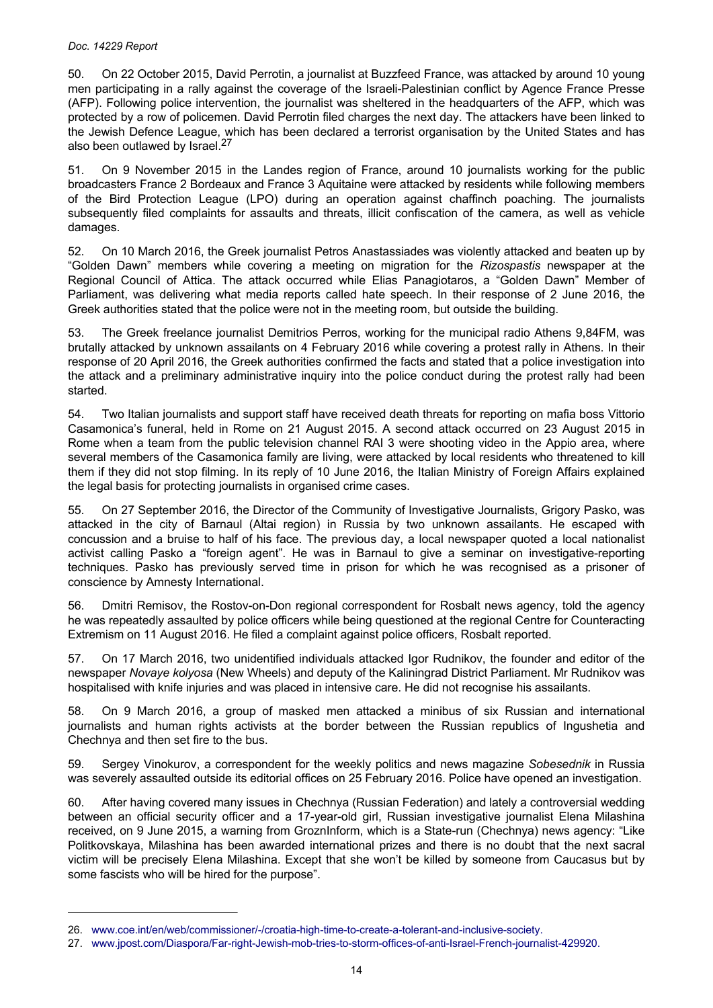50. On 22 October 2015, David Perrotin, a journalist at Buzzfeed France, was attacked by around 10 young men participating in a rally against the coverage of the Israeli-Palestinian conflict by Agence France Presse (AFP). Following police intervention, the journalist was sheltered in the headquarters of the AFP, which was protected by a row of policemen. David Perrotin filed charges the next day. The attackers have been linked to the Jewish Defence League, which has been declared a terrorist organisation by the United States and has also been outlawed by Israel.<sup>27</sup>

51. On 9 November 2015 in the Landes region of France, around 10 journalists working for the public broadcasters France 2 Bordeaux and France 3 Aquitaine were attacked by residents while following members of the Bird Protection League (LPO) during an operation against chaffinch poaching. The journalists subsequently filed complaints for assaults and threats, illicit confiscation of the camera, as well as vehicle damages.

52. On 10 March 2016, the Greek journalist Petros Anastassiades was violently attacked and beaten up by "Golden Dawn" members while covering a meeting on migration for the *Rizospastis* newspaper at the Regional Council of Attica. The attack occurred while Elias Panagiotaros, a "Golden Dawn" Member of Parliament, was delivering what media reports called hate speech. In their response of 2 June 2016, the Greek authorities stated that the police were not in the meeting room, but outside the building.

53. The Greek freelance journalist Demitrios Perros, working for the municipal radio Athens 9,84FM, was brutally attacked by unknown assailants on 4 February 2016 while covering a protest rally in Athens. In their response of 20 April 2016, the Greek authorities confirmed the facts and stated that a police investigation into the attack and a preliminary administrative inquiry into the police conduct during the protest rally had been started.

54. Two Italian journalists and support staff have received death threats for reporting on mafia boss Vittorio Casamonica's funeral, held in Rome on 21 August 2015. A second attack occurred on 23 August 2015 in Rome when a team from the public television channel RAI 3 were shooting video in the Appio area, where several members of the Casamonica family are living, were attacked by local residents who threatened to kill them if they did not stop filming. In its reply of 10 June 2016, the Italian Ministry of Foreign Affairs explained the legal basis for protecting journalists in organised crime cases.

55. On 27 September 2016, the Director of the Community of Investigative Journalists, Grigory Pasko, was attacked in the city of Barnaul (Altai region) in Russia by two unknown assailants. He escaped with concussion and a bruise to half of his face. The previous day, a local newspaper quoted a local nationalist activist calling Pasko a "foreign agent". He was in Barnaul to give a seminar on investigative-reporting techniques. Pasko has previously served time in prison for which he was recognised as a prisoner of conscience by Amnesty International.

56. Dmitri Remisov, the Rostov-on-Don regional correspondent for Rosbalt news agency, told the agency he was repeatedly assaulted by police officers while being questioned at the regional Centre for Counteracting Extremism on 11 August 2016. He filed a complaint against police officers, Rosbalt reported.

57. On 17 March 2016, two unidentified individuals attacked Igor Rudnikov, the founder and editor of the newspaper *Novaye kolyosa* (New Wheels) and deputy of the Kaliningrad District Parliament. Mr Rudnikov was hospitalised with knife injuries and was placed in intensive care. He did not recognise his assailants.

58. On 9 March 2016, a group of masked men attacked a minibus of six Russian and international journalists and human rights activists at the border between the Russian republics of Ingushetia and Chechnya and then set fire to the bus.

59. Sergey Vinokurov, a correspondent for the weekly politics and news magazine *Sobesednik* in Russia was severely assaulted outside its editorial offices on 25 February 2016. Police have opened an investigation.

60. After having covered many issues in Chechnya (Russian Federation) and lately a controversial wedding between an official security officer and a 17-year-old girl, Russian investigative journalist Elena Milashina received, on 9 June 2015, a warning from GroznInform, which is a State-run (Chechnya) news agency: "Like Politkovskaya, Milashina has been awarded international prizes and there is no doubt that the next sacral victim will be precisely Elena Milashina. Except that she won't be killed by someone from Caucasus but by some fascists who will be hired for the purpose".

<sup>26.</sup> [www.coe.int/en/web/commissioner/-/croatia-high-time-to-create-a-tolerant-and-inclusive-society.](http://www.coe.int/en/web/commissioner/-/croatia-high-time-to-create-a-tolerant-and-inclusive-society)

<sup>27.</sup> [www.jpost.com/Diaspora/Far-right-Jewish-mob-tries-to-storm-offices-of-anti-Israel-French-journalist-429920.](http://www.jpost.com/Diaspora/Far-right-Jewish-mob-tries-to-storm-offices-of-anti-Israel-French-journalist-429920)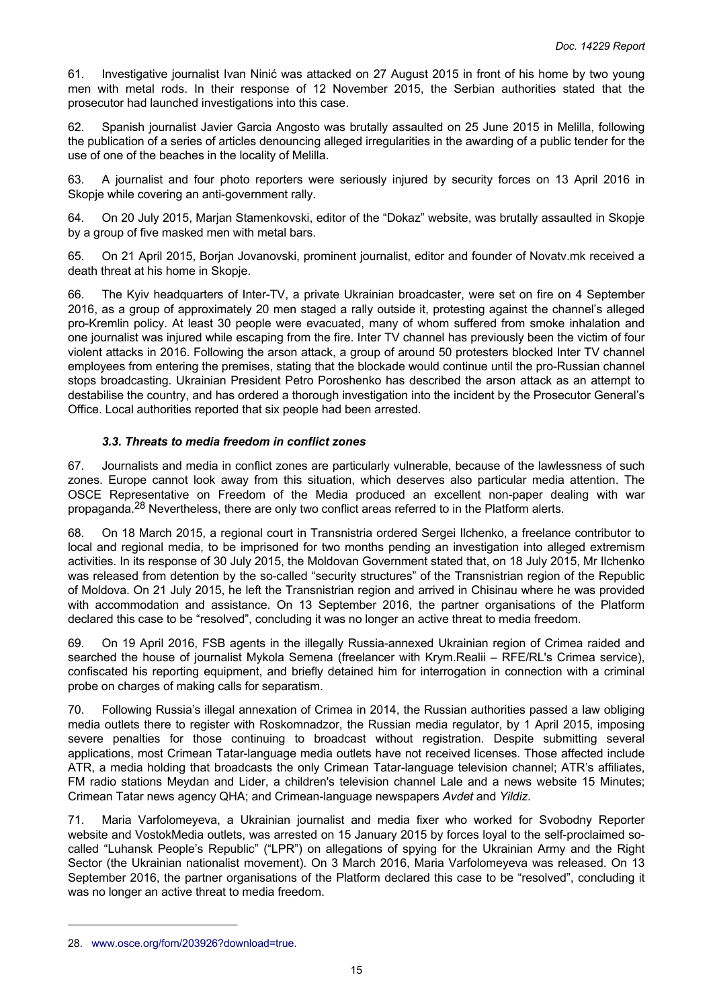<span id="page-14-0"></span>61. Investigative journalist Ivan Ninić was attacked on 27 August 2015 in front of his home by two young men with metal rods. In their response of 12 November 2015, the Serbian authorities stated that the prosecutor had launched investigations into this case.

62. Spanish journalist Javier Garcia Angosto was brutally assaulted on 25 June 2015 in Melilla, following the publication of a series of articles denouncing alleged irregularities in the awarding of a public tender for the use of one of the beaches in the locality of Melilla.

63. A journalist and four photo reporters were seriously injured by security forces on 13 April 2016 in Skopje while covering an anti-government rally.

64. On 20 July 2015, Marjan Stamenkovski, editor of the "Dokaz" website, was brutally assaulted in Skopje by a group of five masked men with metal bars.

65. On 21 April 2015, Borjan Jovanovski, prominent journalist, editor and founder of Novatv.mk received a death threat at his home in Skopje.

66. The Kyiv headquarters of Inter-TV, a private Ukrainian broadcaster, were set on fire on 4 September 2016, as a group of approximately 20 men staged a rally outside it, protesting against the channel's alleged pro-Kremlin policy. At least 30 people were evacuated, many of whom suffered from smoke inhalation and one journalist was injured while escaping from the fire. Inter TV channel has previously been the victim of four violent attacks in 2016. Following the arson attack, a group of around 50 protesters blocked Inter TV channel employees from entering the premises, stating that the blockade would continue until the pro-Russian channel stops broadcasting. Ukrainian President Petro Poroshenko has described the arson attack as an attempt to destabilise the country, and has ordered a thorough investigation into the incident by the Prosecutor General's Office. Local authorities reported that six people had been arrested.

# *3.3. Threats to media freedom in conflict zones*

67. Journalists and media in conflict zones are particularly vulnerable, because of the lawlessness of such zones. Europe cannot look away from this situation, which deserves also particular media attention. The OSCE Representative on Freedom of the Media produced an excellent non-paper dealing with war propaganda.<sup>28</sup> Nevertheless, there are only two conflict areas referred to in the Platform alerts.

68. On 18 March 2015, a regional court in Transnistria ordered Sergei Ilchenko, a freelance contributor to local and regional media, to be imprisoned for two months pending an investigation into alleged extremism activities. In its response of 30 July 2015, the Moldovan Government stated that, on 18 July 2015, Mr Ilchenko was released from detention by the so-called "security structures" of the Transnistrian region of the Republic of Moldova. On 21 July 2015, he left the Transnistrian region and arrived in Chisinau where he was provided with accommodation and assistance. On 13 September 2016, the partner organisations of the Platform declared this case to be "resolved", concluding it was no longer an active threat to media freedom.

69. On 19 April 2016, FSB agents in the illegally Russia-annexed Ukrainian region of Crimea raided and searched the house of journalist Mykola Semena (freelancer with Krym.Realii – RFE/RL's Crimea service), confiscated his reporting equipment, and briefly detained him for interrogation in connection with a criminal probe on charges of making calls for separatism.

70. Following Russia's illegal annexation of Crimea in 2014, the Russian authorities passed a law obliging media outlets there to register with Roskomnadzor, the Russian media regulator, by 1 April 2015, imposing severe penalties for those continuing to broadcast without registration. Despite submitting several applications, most Crimean Tatar-language media outlets have not received licenses. Those affected include ATR, a media holding that broadcasts the only Crimean Tatar-language television channel; ATR's affiliates, FM radio stations Meydan and Lider, a children's television channel Lale and a news website 15 Minutes; Crimean Tatar news agency QHA; and Crimean-language newspapers *Avdet* and *Yildiz*.

71. Maria Varfolomeyeva, a Ukrainian journalist and media fixer who worked for Svobodny Reporter website and VostokMedia outlets, was arrested on 15 January 2015 by forces loyal to the self-proclaimed socalled "Luhansk People's Republic" ("LPR") on allegations of spying for the Ukrainian Army and the Right Sector (the Ukrainian nationalist movement). On 3 March 2016, Maria Varfolomeyeva was released. On 13 September 2016, the partner organisations of the Platform declared this case to be "resolved", concluding it was no longer an active threat to media freedom.

<sup>28.</sup> [www.osce.org/fom/203926?download=true.](http://www.osce.org/fom/203926?download=true)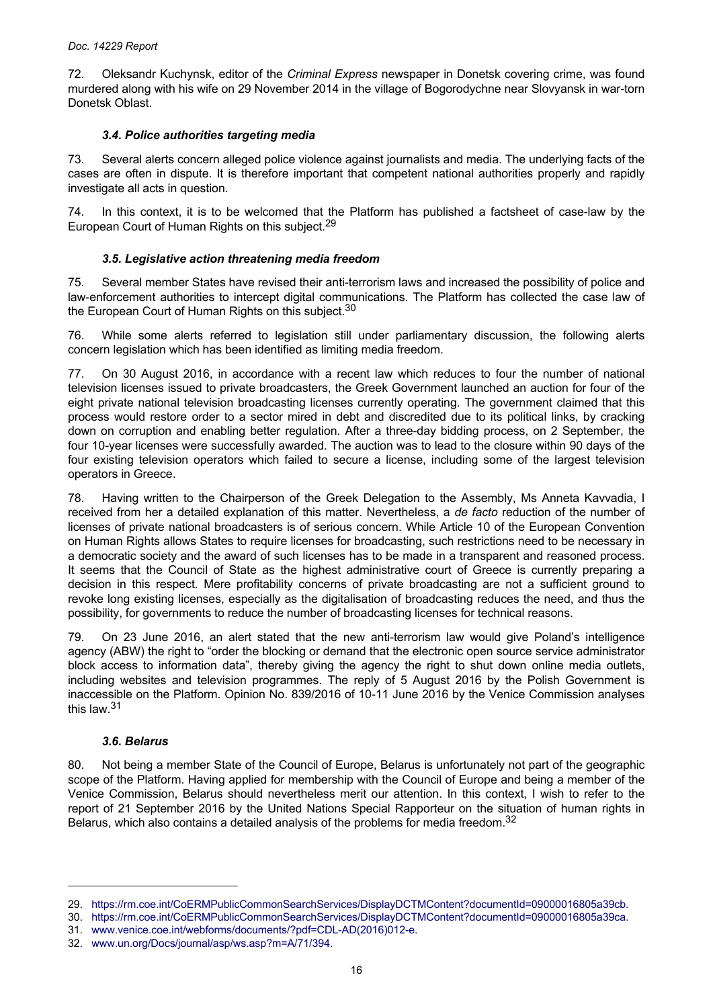<span id="page-15-0"></span>72. Oleksandr Kuchynsk, editor of the *Criminal Express* newspaper in Donetsk covering crime, was found murdered along with his wife on 29 November 2014 in the village of Bogorodychne near Slovyansk in war-torn Donetsk Oblast.

## *3.4. Police authorities targeting media*

73. Several alerts concern alleged police violence against journalists and media. The underlying facts of the cases are often in dispute. It is therefore important that competent national authorities properly and rapidly investigate all acts in question.

74. In this context, it is to be welcomed that the Platform has published a factsheet of case-law by the European Court of Human Rights on this subject.<sup>29</sup>

# *3.5. Legislative action threatening media freedom*

75. Several member States have revised their anti-terrorism laws and increased the possibility of police and law-enforcement authorities to intercept digital communications. The Platform has collected the case law of the European Court of Human Rights on this subject.<sup>30</sup>

76. While some alerts referred to legislation still under parliamentary discussion, the following alerts concern legislation which has been identified as limiting media freedom.

77. On 30 August 2016, in accordance with a recent law which reduces to four the number of national television licenses issued to private broadcasters, the Greek Government launched an auction for four of the eight private national television broadcasting licenses currently operating. The government claimed that this process would restore order to a sector mired in debt and discredited due to its political links, by cracking down on corruption and enabling better regulation. After a three-day bidding process, on 2 September, the four 10-year licenses were successfully awarded. The auction was to lead to the closure within 90 days of the four existing television operators which failed to secure a license, including some of the largest television operators in Greece.

78. Having written to the Chairperson of the Greek Delegation to the Assembly, Ms Anneta Kavvadia, I received from her a detailed explanation of this matter. Nevertheless, a *de facto* reduction of the number of licenses of private national broadcasters is of serious concern. While Article 10 of the European Convention on Human Rights allows States to require licenses for broadcasting, such restrictions need to be necessary in a democratic society and the award of such licenses has to be made in a transparent and reasoned process. It seems that the Council of State as the highest administrative court of Greece is currently preparing a decision in this respect. Mere profitability concerns of private broadcasting are not a sufficient ground to revoke long existing licenses, especially as the digitalisation of broadcasting reduces the need, and thus the possibility, for governments to reduce the number of broadcasting licenses for technical reasons.

79. On 23 June 2016, an alert stated that the new anti-terrorism law would give Poland's intelligence agency (ABW) the right to "order the blocking or demand that the electronic open source service administrator block access to information data", thereby giving the agency the right to shut down online media outlets, including websites and television programmes. The reply of 5 August 2016 by the Polish Government is inaccessible on the Platform. Opinion No. 839/2016 of 10-11 June 2016 by the Venice Commission analyses this law.<sup>31</sup>

## *3.6. Belarus*

80. Not being a member State of the Council of Europe, Belarus is unfortunately not part of the geographic scope of the Platform. Having applied for membership with the Council of Europe and being a member of the Venice Commission, Belarus should nevertheless merit our attention. In this context, I wish to refer to the report of 21 September 2016 by the United Nations Special Rapporteur on the situation of human rights in Belarus, which also contains a detailed analysis of the problems for media freedom.<sup>32</sup>

<sup>29.</sup> [https://rm.coe.int/CoERMPublicCommonSearchServices/DisplayDCTMContent?documentId=09000016805a39cb.](https://rm.coe.int/CoERMPublicCommonSearchServices/DisplayDCTMContent?documentId=09000016805a39cb)

<sup>30.</sup> [https://rm.coe.int/CoERMPublicCommonSearchServices/DisplayDCTMContent?documentId=09000016805a39ca.](https://rm.coe.int/CoERMPublicCommonSearchServices/DisplayDCTMContent?documentId=09000016805a39ca)

<sup>31.</sup> [www.venice.coe.int/webforms/documents/?pdf=CDL-AD\(2016\)012-e.](http://www.venice.coe.int/webforms/documents/?pdf=CDL-AD(2016)012-e)

<sup>32.</sup> [www.un.org/Docs/journal/asp/ws.asp?m=A/71/394.](http://www.un.org/Docs/journal/asp/ws.asp?m=A/71/394)